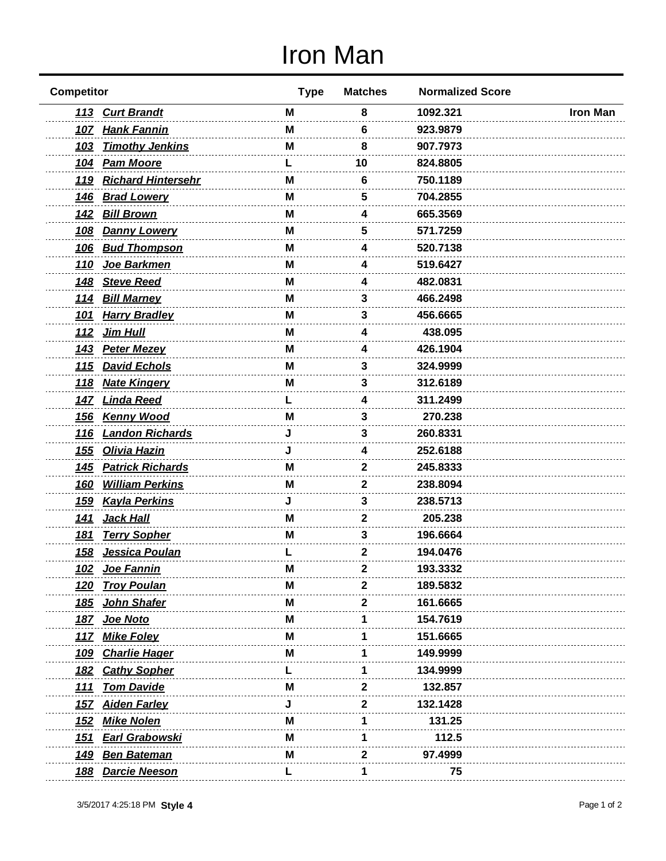## Iron Man

| <b>Competitor</b> |                         | <b>Type</b> | <b>Matches</b> | <b>Normalized Score</b> |                 |
|-------------------|-------------------------|-------------|----------------|-------------------------|-----------------|
|                   | 113 Curt Brandt         | M           | 8              | 1092.321                | <b>Iron Man</b> |
|                   | 107 Hank Fannin         | M           | 6              | 923.9879                |                 |
| <u>103</u>        | <b>Timothy Jenkins</b>  | М           | 8              | 907.7973                |                 |
| <u> 104</u>       | <b>Pam Moore</b>        |             | 10             | 824.8805                |                 |
|                   | 119 Richard Hintersehr  | М           | 6              | 750.1189                |                 |
| <u>146</u>        | <b>Brad Lowery</b>      | M           | 5              | 704.2855                |                 |
|                   | 142 Bill Brown          | M           | 4              | 665.3569                |                 |
| <u>108</u>        | <b>Danny Lowery</b>     | M           | 5              | 571.7259                |                 |
| <u>106</u>        | <b>Bud Thompson</b>     | м           | 4              | 520.7138                |                 |
| <u>110</u>        | Joe Barkmen             | M           | 4              | 519.6427                |                 |
| <u>148</u>        | <b>Steve Reed</b>       | м           | 4              | 482.0831                |                 |
|                   | 114 Bill Marney         | M           | 3              | 466.2498                |                 |
| <u>101</u>        | <b>Harry Bradley</b>    | M           | 3              | 456.6665                |                 |
| <u>112</u>        | <b>Jim Hull</b>         | м           | Δ              | 438.095                 |                 |
| <u>143</u>        | <u>Peter Mezev</u>      | M           | 4              | 426.1904                |                 |
| <u> 115</u>       | <b>David Echols</b>     | м           | 3              | 324.9999                |                 |
|                   | 118 Nate Kingery        | м           | 3              | 312.6189                |                 |
| <u>147</u>        | <b>Linda Reed</b>       |             | 4              | 311.2499                |                 |
| <u> 156</u>       | <b>Kenny Wood</b>       | М           | 3              | 270.238                 |                 |
| <u> 116</u>       | <b>Landon Richards</b>  |             | 3              | 260.8331                |                 |
| <u>155</u>        | <b>Olivia Hazin</b>     |             | 4              | 252.6188                |                 |
| <u>145</u>        | <b>Patrick Richards</b> | M           | 2              | 245.8333                |                 |
| <u>160</u>        | <b>William Perkins</b>  | M           | 2              | 238.8094                |                 |
| <u>159</u>        | <b>Kayla Perkins</b>    | J           | 3              | 238.5713                |                 |
| <u>141</u>        | <u>Jack Hall</u>        | М           | 2              | 205.238                 |                 |
| <u>181</u>        | <b>Terry Sopher</b>     | м           | 3              | 196.6664                |                 |
|                   | 158 Jessica Poulan      |             | 2              | 194.0476                |                 |
| <u>102</u>        | Joe Fannin              | M           | ∠              | 193.3332                |                 |
| <u>120</u>        | <b>Troy Poulan</b>      | м           | 2              | 189.5832                |                 |
| <u> 185</u>       | John Shafer             | м           | 2              | 161.6665                |                 |
| <u> 187</u>       | <u>Joe Noto</u>         | м           |                | 154.7619                |                 |
|                   | 117 Mike Foley          | M           |                | 151.6665                |                 |
| <u>109</u>        | <b>Charlie Hager</b>    | M           |                | 149.9999                |                 |
|                   | 182 Cathy Sopher        |             |                | 134.9999                |                 |
| <u> 111</u>       | <b>Tom Davide</b>       | м           | 2              | 132.857                 |                 |
|                   | 157 Aiden Farley        | J           | 2              | 132.1428                |                 |
| <u>152</u>        | <b>Mike Nolen</b>       | м           |                | 131.25                  |                 |
| <u> 151</u>       | <b>Earl Grabowski</b>   | M           |                | 112.5                   |                 |
| <u> 149</u>       | <b>Ben Bateman</b>      | M           | 2              | 97.4999                 |                 |
|                   | 188 Darcie Neeson       | L           | 1              | 75                      |                 |